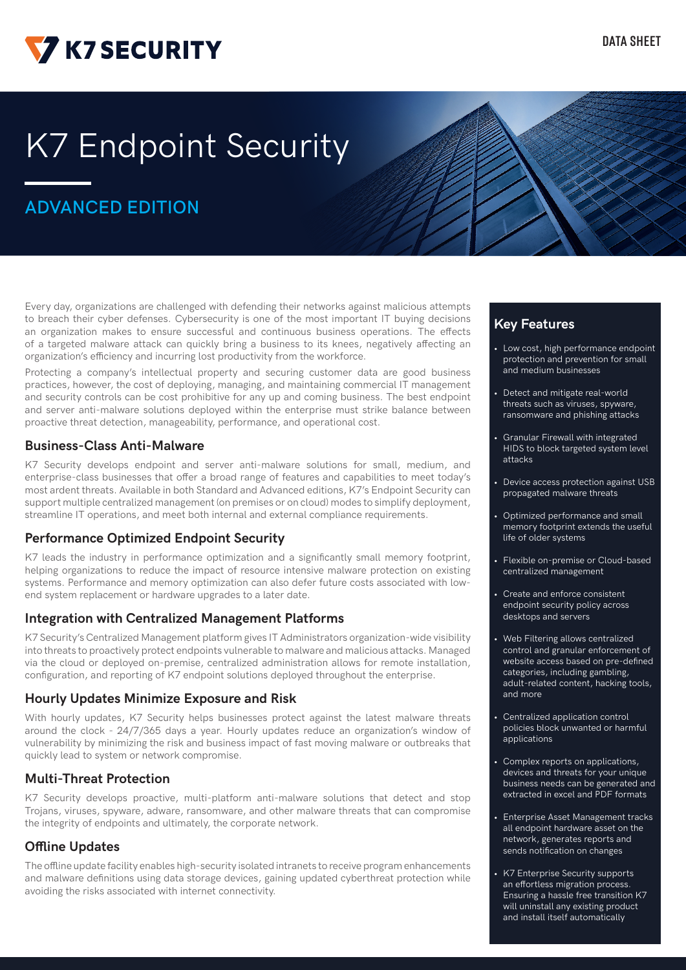

# **K7 Endpoint Security**

# **ADVANCED EDITION**

Every day, organizations are challenged with defending their networks against malicious attempts to breach their cyber defenses. Cybersecurity is one of the most important IT buying decisions an organization makes to ensure successful and continuous business operations. The effects of a targeted malware attack can quickly bring a business to its knees, negatively affecting an organization's efficiency and incurring lost productivity from the workforce.

Protecting a company's intellectual property and securing customer data are good business practices, however, the cost of deploying, managing, and maintaining commercial IT management and security controls can be cost prohibitive for any up and coming business. The best endpoint and server anti-malware solutions deployed within the enterprise must strike balance between proactive threat detection, manageability, performance, and operational cost.

#### **Business-Class Anti-Malware**

K7 Security develops endpoint and server anti-malware solutions for small, medium, and enterprise-class businesses that offer a broad range of features and capabilities to meet today's most ardent threats. Available in both Standard and Advanced editions, K7's Endpoint Security can support multiple centralized management (on premises or on cloud) modes to simplify deployment, streamline IT operations, and meet both internal and external compliance requirements.

#### **Performance Optimized Endpoint Security**

K7 leads the industry in performance optimization and a significantly small memory footprint, helping organizations to reduce the impact of resource intensive malware protection on existing systems. Performance and memory optimization can also defer future costs associated with lowend system replacement or hardware upgrades to a later date.

#### **Integration with Centralized Management Platforms**

K7 Security's Centralized Management platform gives IT Administrators organization-wide visibility into threats to proactively protect endpoints vulnerable to malware and malicious attacks. Managed via the cloud or deployed on-premise, centralized administration allows for remote installation, configuration, and reporting of K7 endpoint solutions deployed throughout the enterprise.

#### **Hourly Updates Minimize Exposure and Risk**

With hourly updates, K7 Security helps businesses protect against the latest malware threats around the clock - 24/7/365 days a year. Hourly updates reduce an organization's window of vulnerability by minimizing the risk and business impact of fast moving malware or outbreaks that quickly lead to system or network compromise.

#### **Multi-Threat Protection**

K7 Security develops proactive, multi-platform anti-malware solutions that detect and stop Trojans, viruses, spyware, adware, ransomware, and other malware threats that can compromise the integrity of endpoints and ultimately, the corporate network.

#### **Offline Updates**

The offline update facility enables high-security isolated intranets to receive program enhancements and malware definitions using data storage devices, gaining updated cyberthreat protection while avoiding the risks associated with internet connectivity.

### **Key Features**

- Low cost, high performance endpoint protection and prevention for small and medium businesses
- Detect and mitigate real-world threats such as viruses, spyware, ransomware and phishing attacks
- **Granular Firewall with integrated** HIDS to block targeted system level attacks
- Device access protection against USB propagated malware threats
- Optimized performance and small memory footprint extends the useful life of older systems
- Flexible on-premise or Cloud-based centralized management
- Create and enforce consistent endpoint security policy across desktops and servers
- Web Filtering allows centralized control and granular enforcement of website access based on pre-defined categories, including gambling, adult-related content, hacking tools, and more
- Centralized application control policies block unwanted or harmful applications
- Complex reports on applications, devices and threats for your unique business needs can be generated and extracted in excel and PDF formats
- Enterprise Asset Management tracks all endpoint hardware asset on the network, generates reports and sends notification on changes
- K7 Enterprise Security supports an effortless migration process. Ensuring a hassle free transition K7 will uninstall any existing product and install itself automatically